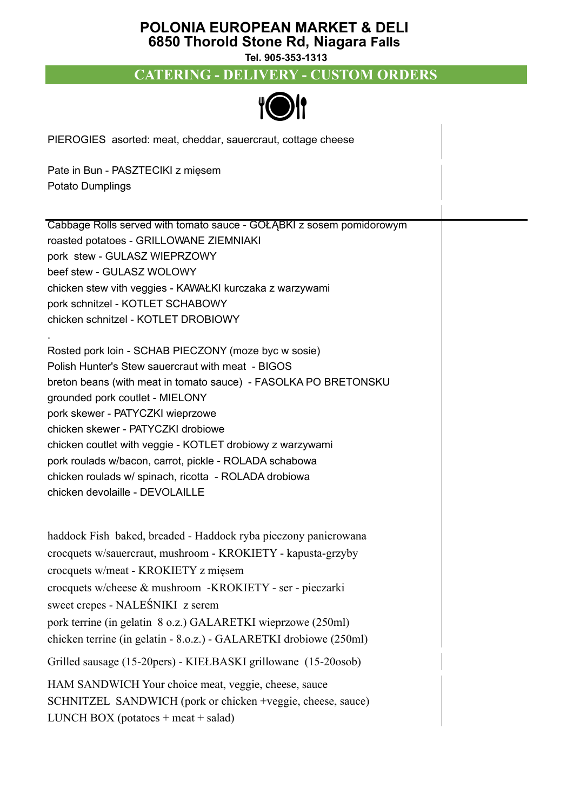#### **POLONIA EUROPEAN MARKET & DELI 6850 Thorold Stone Rd, Niagara Falls**

**Tel. 905-353-1313**

# **CATERING - DELIVERY - CUSTOM ORDERS**



PIEROGIES asorted: meat, cheddar, sauercraut, cottage cheese

Pate in Bun - PASZTECIKI z mięsem Potato Dumplings

Cabbage Rolls served with tomato sauce - GOŁĄBKI z sosem pomidorowym roasted potatoes - GRILLOWANE ZIEMNIAKI pork stew - GULASZ WIEPRZOWY beef stew - GULASZ WOLOWY chicken stew vith veggies - KAWAŁKI kurczaka z warzywami pork schnitzel - KOTLET SCHABOWY chicken schnitzel - KOTLET DROBIOWY .

Rosted pork loin - SCHAB PIECZONY (moze byc w sosie) Polish Hunter's Stew sauercraut with meat - BIGOS breton beans (with meat in tomato sauce) - FASOLKA PO BRETONSKU grounded pork coutlet - MIELONY pork skewer - PATYCZKI wieprzowe chicken skewer - PATYCZKI drobiowe chicken coutlet with veggie - KOTLET drobiowy z warzywami pork roulads w/bacon, carrot, pickle - ROLADA schabowa chicken roulads w/ spinach, ricotta - ROLADA drobiowa chicken devolaille - DEVOLAILLE

haddock Fish baked, breaded - Haddock ryba pieczony panierowana crocquets w/sauercraut, mushroom - KROKIETY - kapusta-grzyby crocquets w/meat - KROKIETY z mięsem crocquets w/cheese & mushroom -KROKIETY - ser - pieczarki sweet crepes - NALEŚNIKI z serem pork terrine (in gelatin 8 o.z.) GALARETKI wieprzowe (250ml) chicken terrine (in gelatin - 8.o.z.) - GALARETKI drobiowe (250ml) Grilled sausage (15-20pers) - KIEŁBASKI grillowane (15-20osob) HAM SANDWICH Your choice meat, veggie, cheese, sauce SCHNITZEL SANDWICH (pork or chicken +veggie, cheese, sauce) LUNCH BOX (potatoes  $+$  meat  $+$  salad)